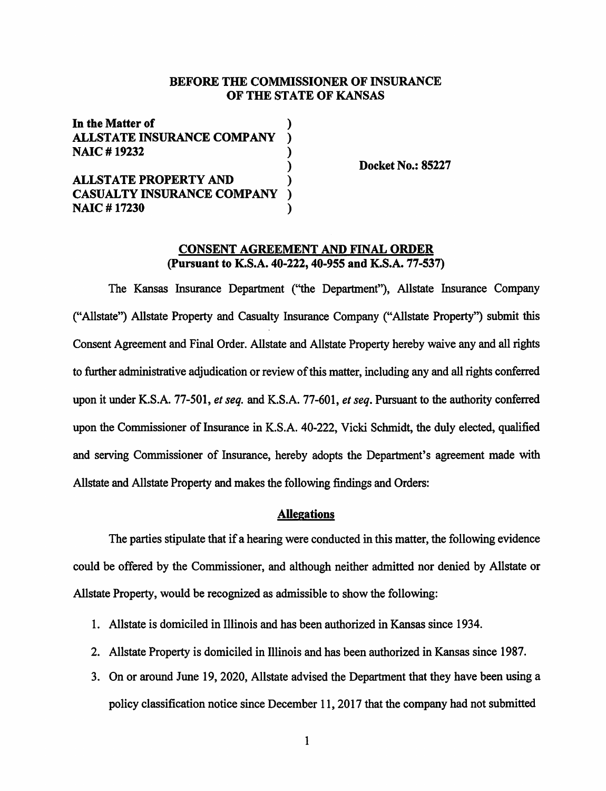### **BEFORE THE COMMISSIONER OF INSURANCE OF THE STATE OF KANSAS**

| In the Matter of                  |  |
|-----------------------------------|--|
| <b>ALLSTATE INSURANCE COMPANY</b> |  |
| <b>NAIC#19232</b>                 |  |
|                                   |  |
| <b>ALLSTATE PROPERTY AND</b>      |  |
| <b>CASUALTY INSURANCE COMPANY</b> |  |
| <b>NAIC #17230</b>                |  |

**Docket No.: 85227** 

## **CONSENT AGREEMENT AND FINAL ORDER (Pursuant to K.S.A. 40-222, 40-955 and K.S.A. 77-537)**

The Kansas Insurance Department (''the Department"), Allstate Insurance Company ("Allstate") Allstate Property and Casualty Insurance Company ("Allstate Property") submit this Consent Agreement and Final Order. Allstate and Allstate Property hereby waive any and all rights to further administrative adjudication or review of this matter, including any and all rights conferred upon it under K.S.A. 77-501, *et seq.* and K.S.A. 77-601, *et seq.* Pursuant to the authority conferred upon the Commissioner of Insurance in K.S.A. 40-222, Vicki Schmidt, the duly elected, qualified and serving Commissioner of Insurance, hereby adopts the Department's agreement made with Allstate and Allstate Property and makes the following findings and Orders:

### **Allegations**

The parties stipulate that if a hearing were conducted in this matter, the following evidence could be offered by the Commissioner, and although neither admitted nor denied by Allstate or Allstate Property, would be recognized as admissible to show the following:

- 1. Allstate is domiciled in Illinois and has been authorized in Kansas since 1934.
- 2. Allstate Property is domiciled in Illinois and has been authorized in Kansas since 1987.
- 3. On or around June 19, 2020, Allstate advised the Department that they have been using a policy classification notice since December 11, 2017 that the company had not submitted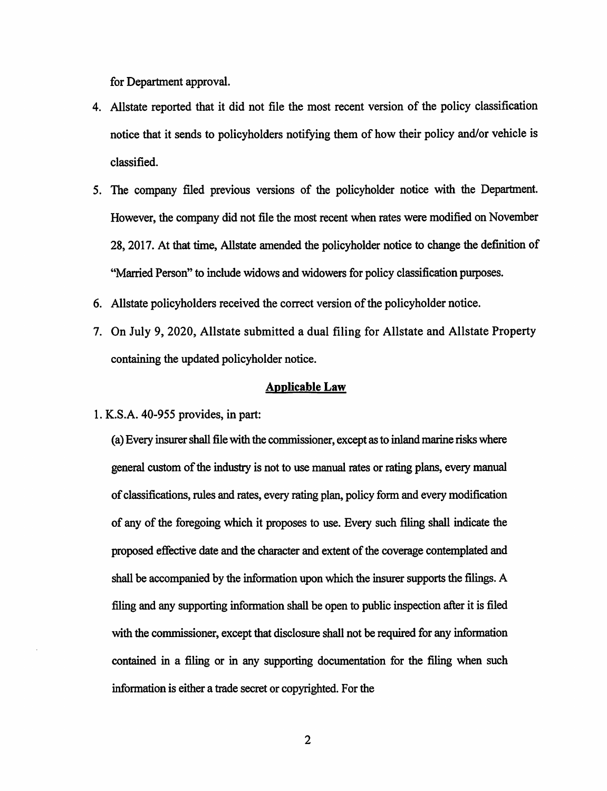for Department approval.

- 4. Allstate reported that it did not file the most recent version of the policy classification notice that it sends to policyholders notifying them of how their policy and/or vehicle is classified.
- 5. The company filed previous versions of the policyholder notice with the Department. However, the company did not file the most recent when rates were modified on November 28, 2017. At that time, Allstate amended the policyholder notice to change the definition of "Married Person" to include widows and widowers for policy classification purposes.
- 6. Allstate policyholders received the correct version of the policyholder notice.
- 7. On July 9, 2020, Allstate submitted a dual filing for Allstate and Allstate Property containing the updated policyholder notice.

#### **Applicable Law**

1. K.S.A. 40-955 provides, in part:

(a) Every insurer shall file with the commissioner, except as to inland marine risks where general custom of the industry is not to use manual rates or rating plans, every manual of classifications, rules and rates, every rating plan, policy form and every modification of any of the foregoing which it proposes to use. Every such filing shall indicate the proposed effective date and the character and extent of the coverage contemplated and shall be accompanied by the information upon which the insurer supports the filings. A filing and any supporting information shall be open to public inspection after it is filed with the commissioner, except that disclosure shall not be required for any information contained in a filing or in any supporting documentation for the filing when such information is either a trade secret or copyrighted. For the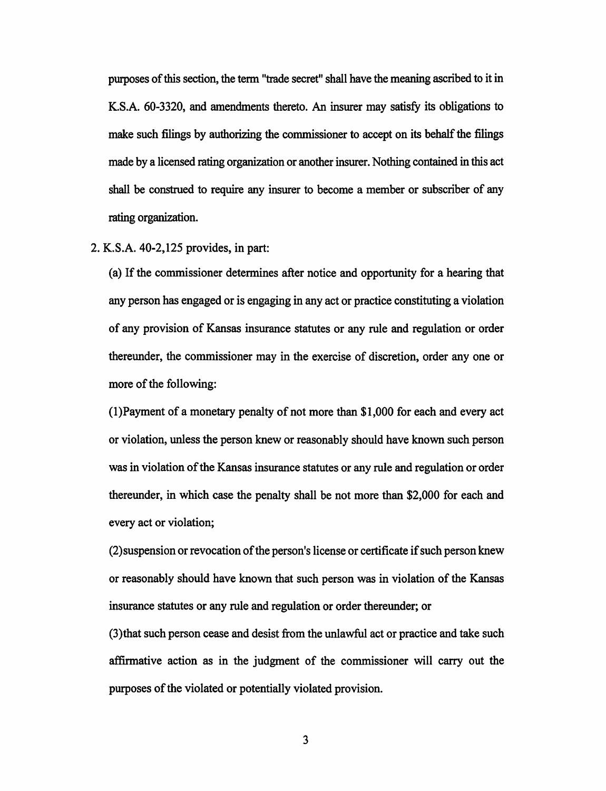purposes of this section, the term "trade secret" shall have the meaning ascribed to it in K.S.A. 60-3320, and amendments thereto. An insurer may satisfy its obligations to make such filings by authorizing the commissioner to accept on its behalf the filings made by a licensed rating organization or another insurer. Nothing contained in this act shall be construed to require any insurer to become a member or subscriber of any rating organization.

2. K.S.A. 40-2,125 provides, in part:

(a) If the commissioner determines after notice and opportunity for a hearing that any person has engaged or is engaging in any act or practice constituting a violation of any provision of Kansas insurance statutes or any rule and regulation or order thereunder, the commissioner may in the exercise of discretion, order any one or more of the following:

(1 )Payment of a monetary penalty of not more than \$1,000 for each and every act or violation, unless the person knew or reasonably should have known such person was in violation of the Kansas insurance statutes or any rule and regulation or order thereunder, in which case the penalty shall be not more than \$2,000 for each and every act or violation;

(2)suspension or revocation of the person's license or certificate if such person knew or reasonably should have known that such person was in violation of the Kansas insurance statutes or any rule and regulation or order thereunder; or

(3)that such person cease and desist from the unlawful act or practice and take such affirmative action as in the judgment of the commissioner will carry out the purposes of the violated or potentially violated provision.

3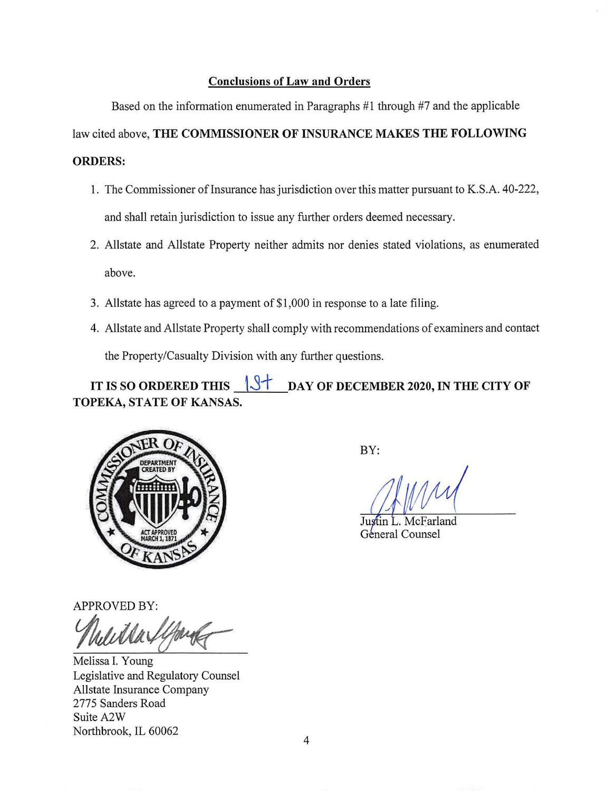# **Conclusions of Law and Orders**

Based on the information enumerated in Paragraphs **#1** through #7 and the applicable law cited above, **THE COMMISSIONER OF INSURANCE MAKES THE FOLLOWING ORDERS:** 

- 1. The Commissioner oflnsurance has jurisdiction over this matter pursuant to **K.S.A.** 40-222, and shall retain jurisdiction to issue any further orders deemed necessary.
- 2. Allstate and Allstate Property neither admits nor denies stated violations, as enumerated above.
- 3. Allstate has agreed to a payment of \$1,000 in response to a late filing.
- 4. Allstate and Allstate Property shall comply with recommendations of examiners and contact the Property/Casualty Division with any further questions.

IT IS SO ORDERED THIS  $\sqrt{3}$  DAY OF DECEMBER 2020, IN THE CITY OF **TOPEKA, STATE OF KANSAS.** 



BY:

Justin L. McFarland General Counsel

APPROVED BY:

APPROVED BY:<br>*Mult Ma Ifford Comment* 

Melissa I. Young Legislative and Regulatory Counsel Allstate Insurance Company 2775 Sanders Road Suite A2W Northbrook, IL 60062